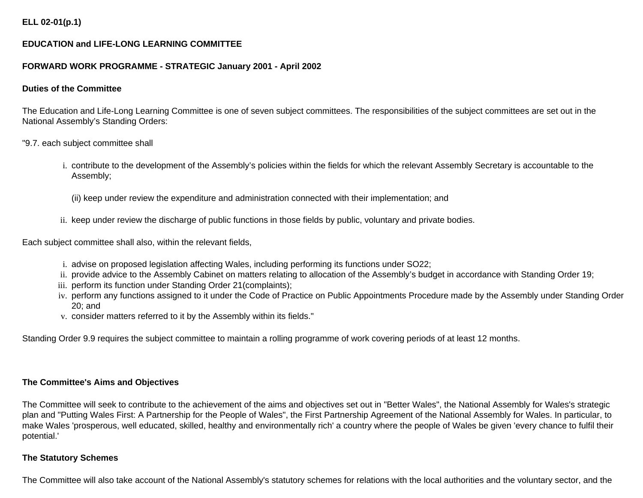## **ELL 02-01(p.1)**

## **EDUCATION and LIFE-LONG LEARNING COMMITTEE**

#### **FORWARD WORK PROGRAMME - STRATEGIC January 2001 - April 2002**

#### **Duties of the Committee**

The Education and Life-Long Learning Committee is one of seven subject committees. The responsibilities of the subject committees are set out in the National Assembly's Standing Orders:

"9.7. each subject committee shall

- i. contribute to the development of the Assembly's policies within the fields for which the relevant Assembly Secretary is accountable to the Assembly;
	- (ii) keep under review the expenditure and administration connected with their implementation; and
- ii. keep under review the discharge of public functions in those fields by public, voluntary and private bodies.

Each subject committee shall also, within the relevant fields,

- i. advise on proposed legislation affecting Wales, including performing its functions under SO22;
- ii. provide advice to the Assembly Cabinet on matters relating to allocation of the Assembly's budget in accordance with Standing Order 19;
- iii. perform its function under Standing Order 21(complaints);
- iv. perform any functions assigned to it under the Code of Practice on Public Appointments Procedure made by the Assembly under Standing Order 20; and
- v. consider matters referred to it by the Assembly within its fields."

Standing Order 9.9 requires the subject committee to maintain a rolling programme of work covering periods of at least 12 months.

### **The Committee's Aims and Objectives**

The Committee will seek to contribute to the achievement of the aims and objectives set out in "Better Wales", the National Assembly for Wales's strategic plan and "Putting Wales First: A Partnership for the People of Wales", the First Partnership Agreement of the National Assembly for Wales. In particular, to make Wales 'prosperous, well educated, skilled, healthy and environmentally rich' a country where the people of Wales be given 'every chance to fulfil their potential.'

#### **The Statutory Schemes**

The Committee will also take account of the National Assembly's statutory schemes for relations with the local authorities and the voluntary sector, and the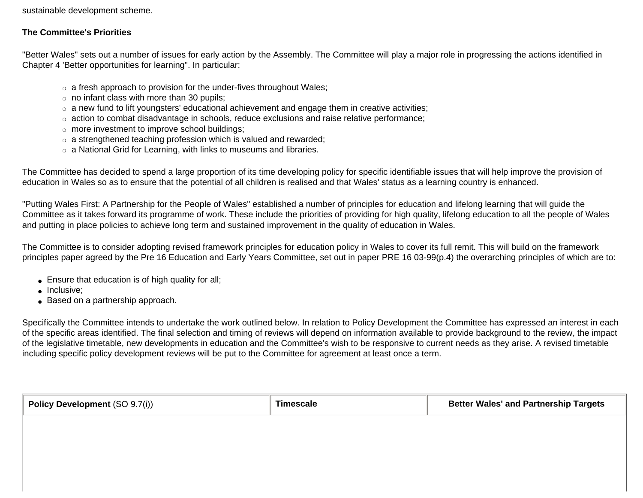sustainable development scheme.

## **The Committee's Priorities**

"Better Wales" sets out a number of issues for early action by the Assembly. The Committee will play a major role in progressing the actions identified in Chapter 4 'Better opportunities for learning". In particular:

- $\circ$  a fresh approach to provision for the under-fives throughout Wales;
- $\circ$  no infant class with more than 30 pupils:
- $\circ$  a new fund to lift youngsters' educational achievement and engage them in creative activities;
- ❍ action to combat disadvantage in schools, reduce exclusions and raise relative performance;
- o more investment to improve school buildings;
- ❍ a strengthened teaching profession which is valued and rewarded;
- ❍ a National Grid for Learning, with links to museums and libraries.

The Committee has decided to spend a large proportion of its time developing policy for specific identifiable issues that will help improve the provision of education in Wales so as to ensure that the potential of all children is realised and that Wales' status as a learning country is enhanced.

"Putting Wales First: A Partnership for the People of Wales" established a number of principles for education and lifelong learning that will guide the Committee as it takes forward its programme of work. These include the priorities of providing for high quality, lifelong education to all the people of Wales and putting in place policies to achieve long term and sustained improvement in the quality of education in Wales.

The Committee is to consider adopting revised framework principles for education policy in Wales to cover its full remit. This will build on the framework principles paper agreed by the Pre 16 Education and Early Years Committee, set out in paper PRE 16 03-99(p.4) the overarching principles of which are to:

- Ensure that education is of high quality for all;
- Inclusive;
- Based on a partnership approach.

Specifically the Committee intends to undertake the work outlined below. In relation to Policy Development the Committee has expressed an interest in each of the specific areas identified. The final selection and timing of reviews will depend on information available to provide background to the review, the impact of the legislative timetable, new developments in education and the Committee's wish to be responsive to current needs as they arise. A revised timetable including specific policy development reviews will be put to the Committee for agreement at least once a term.

| Policy Development (SO 9.7(i)) | <b>Timescale</b> | <b>Better Wales' and Partnership Targets</b> |  |
|--------------------------------|------------------|----------------------------------------------|--|
|                                |                  |                                              |  |
|                                |                  |                                              |  |
|                                |                  |                                              |  |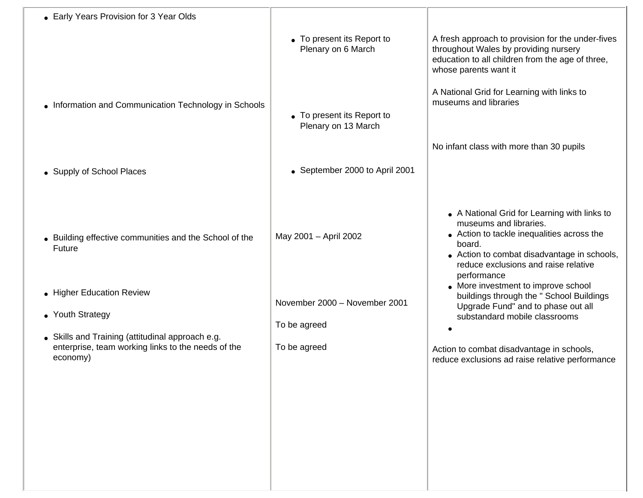| • Early Years Provision for 3 Year Olds                                                                            |                                                   |                                                                                                                                                                                                                                                                             |
|--------------------------------------------------------------------------------------------------------------------|---------------------------------------------------|-----------------------------------------------------------------------------------------------------------------------------------------------------------------------------------------------------------------------------------------------------------------------------|
|                                                                                                                    | • To present its Report to<br>Plenary on 6 March  | A fresh approach to provision for the under-fives<br>throughout Wales by providing nursery<br>education to all children from the age of three,<br>whose parents want it                                                                                                     |
| • Information and Communication Technology in Schools                                                              | • To present its Report to<br>Plenary on 13 March | A National Grid for Learning with links to<br>museums and libraries                                                                                                                                                                                                         |
|                                                                                                                    |                                                   | No infant class with more than 30 pupils                                                                                                                                                                                                                                    |
| • Supply of School Places                                                                                          | • September 2000 to April 2001                    |                                                                                                                                                                                                                                                                             |
| • Building effective communities and the School of the<br><b>Future</b>                                            | May 2001 - April 2002                             | • A National Grid for Learning with links to<br>museums and libraries.<br>• Action to tackle inequalities across the<br>board.<br>• Action to combat disadvantage in schools,<br>reduce exclusions and raise relative<br>performance<br>• More investment to improve school |
| • Higher Education Review                                                                                          | November 2000 - November 2001                     | buildings through the " School Buildings<br>Upgrade Fund" and to phase out all                                                                                                                                                                                              |
| • Youth Strategy                                                                                                   | To be agreed                                      | substandard mobile classrooms                                                                                                                                                                                                                                               |
| • Skills and Training (attitudinal approach e.g.<br>enterprise, team working links to the needs of the<br>economy) | To be agreed                                      | Action to combat disadvantage in schools,<br>reduce exclusions ad raise relative performance                                                                                                                                                                                |
|                                                                                                                    |                                                   |                                                                                                                                                                                                                                                                             |
|                                                                                                                    |                                                   |                                                                                                                                                                                                                                                                             |
|                                                                                                                    |                                                   |                                                                                                                                                                                                                                                                             |
|                                                                                                                    |                                                   |                                                                                                                                                                                                                                                                             |
|                                                                                                                    |                                                   |                                                                                                                                                                                                                                                                             |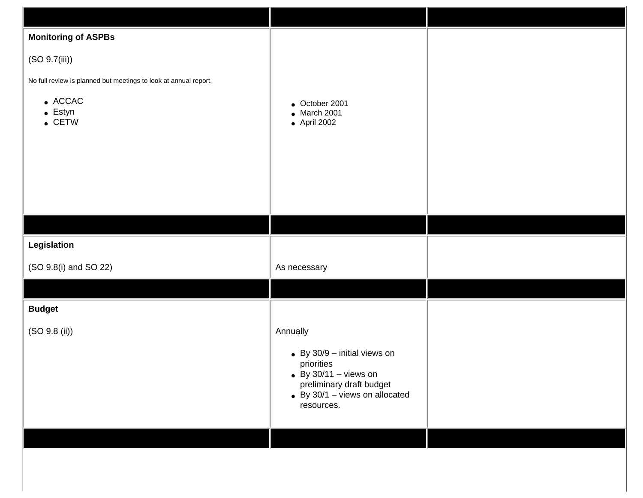| <b>Monitoring of ASPBs</b>                                       |                                                           |  |
|------------------------------------------------------------------|-----------------------------------------------------------|--|
| (SO 9.7(iii))                                                    |                                                           |  |
| No full review is planned but meetings to look at annual report. |                                                           |  |
| $\bullet$ ACCAC<br>$\bullet$ Estyn                               | $\bullet$ October 2001<br>$\bullet$ March 2001            |  |
| $\bullet$ CETW                                                   | $\bullet$ April 2002                                      |  |
|                                                                  |                                                           |  |
|                                                                  |                                                           |  |
|                                                                  |                                                           |  |
|                                                                  |                                                           |  |
|                                                                  |                                                           |  |
| Legislation                                                      |                                                           |  |
| (SO 9.8(i) and SO 22)                                            | As necessary                                              |  |
|                                                                  |                                                           |  |
| <b>Budget</b>                                                    |                                                           |  |
| (SO 9.8 (ii))                                                    | Annually                                                  |  |
|                                                                  | $\bullet$ By 30/9 - initial views on<br>priorities        |  |
|                                                                  | $\bullet$ By 30/11 - views on<br>preliminary draft budget |  |
|                                                                  | $\bullet$ By 30/1 - views on allocated<br>resources.      |  |
|                                                                  |                                                           |  |
|                                                                  |                                                           |  |